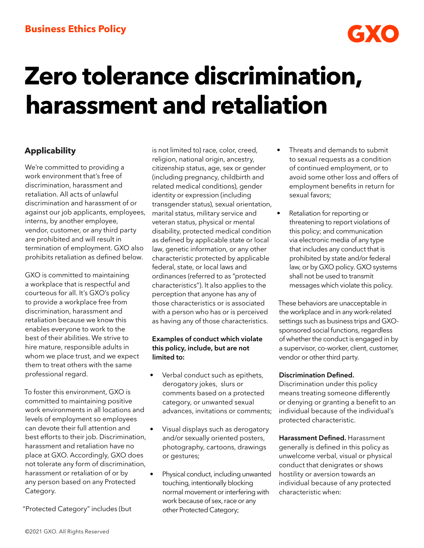

# **Zero tolerance discrimination, harassment and retaliation**

### **Applicability**

We're committed to providing a work environment that's free of discrimination, harassment and retaliation. All acts of unlawful discrimination and harassment of or against our job applicants, employees, interns, by another employee, vendor, customer, or any third party are prohibited and will result in termination of employment. GXO also prohibits retaliation as defined below.

GXO is committed to maintaining a workplace that is respectful and courteous for all. It's GXO's policy to provide a workplace free from discrimination, harassment and retaliation because we know this enables everyone to work to the best of their abilities. We strive to hire mature, responsible adults in whom we place trust, and we expect them to treat others with the same professional regard.

To foster this environment, GXO is committed to maintaining positive work environments in all locations and levels of employment so employees can devote their full attention and best efforts to their job. Discrimination, harassment and retaliation have no place at GXO. Accordingly, GXO does not tolerate any form of discrimination, harassment or retaliation of or by any person based on any Protected Category.

"Protected Category" includes (but

is not limited to) race, color, creed, religion, national origin, ancestry, citizenship status, age, sex or gender (including pregnancy, childbirth and related medical conditions), gender identity or expression (including transgender status), sexual orientation, marital status, military service and veteran status, physical or mental disability, protected medical condition as defined by applicable state or local law, genetic information, or any other characteristic protected by applicable federal, state, or local laws and ordinances (referred to as "protected characteristics"). It also applies to the perception that anyone has any of those characteristics or is associated with a person who has or is perceived as having any of those characteristics.

#### Examples of conduct which violate this policy, include, but are not limited to:

- Verbal conduct such as epithets, derogatory jokes, slurs or comments based on a protected category, or unwanted sexual advances, invitations or comments;
- Visual displays such as derogatory and/or sexually oriented posters, photography, cartoons, drawings or gestures;
- Physical conduct, including unwanted touching, intentionally blocking normal movement or interfering with work because of sex, race or any other Protected Category;
- Threats and demands to submit to sexual requests as a condition of continued employment, or to avoid some other loss and offers of employment benefits in return for sexual favors;
- Retaliation for reporting or threatening to report violations of this policy; and communication via electronic media of any type that includes any conduct that is prohibited by state and/or federal law, or by GXO policy. GXO systems shall not be used to transmit messages which violate this policy.

These behaviors are unacceptable in the workplace and in any work-related settings such as business trips and GXOsponsored social functions, regardless of whether the conduct is engaged in by a supervisor, co-worker, client, customer, vendor or other third party.

#### Discrimination Defined.

Discrimination under this policy means treating someone differently or denying or granting a benefit to an individual because of the individual's protected characteristic.

Harassment Defined. Harassment generally is defined in this policy as unwelcome verbal, visual or physical conduct that denigrates or shows hostility or aversion towards an individual because of any protected characteristic when: